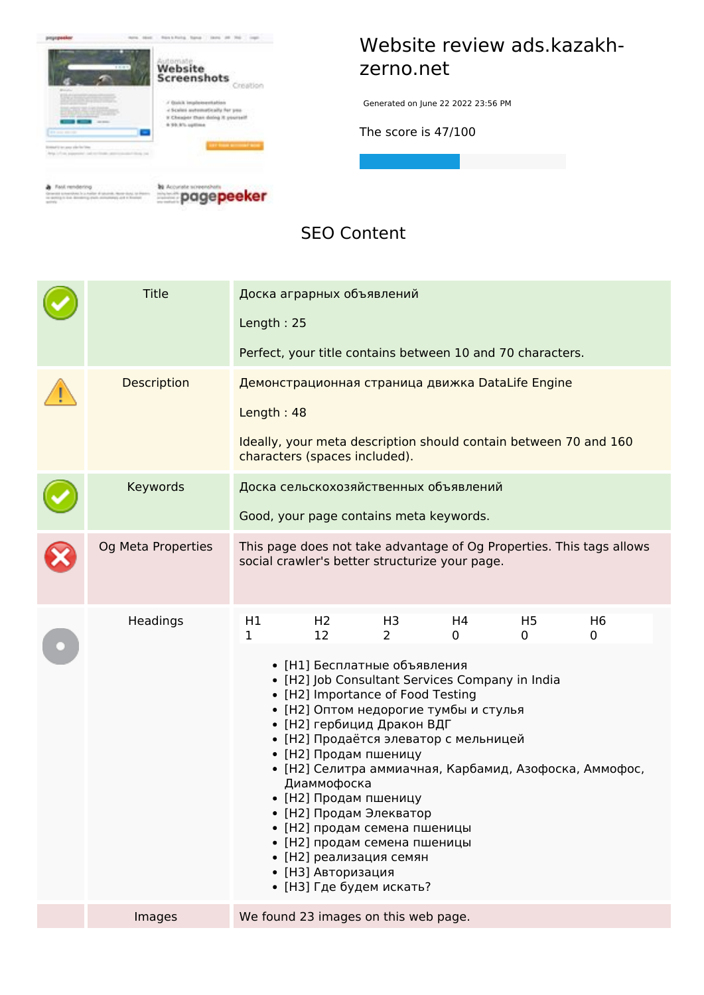

#### **Website review ads.kazakhzerno.net**

Generated on June 22 2022 23:56 PM

**The score is 47/100**

 $\begin{tabular}{ll} \bf 0 & Proof of method of eqs \\ \hline \bf 0 & Proof of method of method. We have to find the same number of elements in the image. \end{tabular}$ 



#### **SEO Content**

| <b>Title</b>       | Доска аграрных объявлений<br>Length: 25<br>Perfect, your title contains between 10 and 70 characters.                                                                                                                                                                                                                                                                                                                                                                                                                                                                                                                                                                        |  |  |  |  |
|--------------------|------------------------------------------------------------------------------------------------------------------------------------------------------------------------------------------------------------------------------------------------------------------------------------------------------------------------------------------------------------------------------------------------------------------------------------------------------------------------------------------------------------------------------------------------------------------------------------------------------------------------------------------------------------------------------|--|--|--|--|
| <b>Description</b> | Демонстрационная страница движка DataLife Engine<br>Length: 48<br>Ideally, your meta description should contain between 70 and 160<br>characters (spaces included).                                                                                                                                                                                                                                                                                                                                                                                                                                                                                                          |  |  |  |  |
| Keywords           | Доска сельскохозяйственных объявлений<br>Good, your page contains meta keywords.                                                                                                                                                                                                                                                                                                                                                                                                                                                                                                                                                                                             |  |  |  |  |
| Og Meta Properties | This page does not take advantage of Og Properties. This tags allows<br>social crawler's better structurize your page.                                                                                                                                                                                                                                                                                                                                                                                                                                                                                                                                                       |  |  |  |  |
| Headings           | H1<br>H <sub>2</sub><br>H4<br>H <sub>5</sub><br>H <sub>6</sub><br>H3<br>12<br>$\overline{2}$<br>1<br>$\Omega$<br>$\mathbf 0$<br>0<br>• [Н1] Бесплатные объявления<br>• [H2] Job Consultant Services Company in India<br>• [H2] Importance of Food Testing<br>• [Н2] Оптом недорогие тумбы и стулья<br>• [Н2] гербицид Дракон ВДГ<br>• [Н2] Продаётся элеватор с мельницей<br>• [Н2] Продам пшеницу<br>• [Н2] Селитра аммиачная, Карбамид, Азофоска, Аммофос,<br>Диаммофоска<br>• [Н2] Продам пшеницу<br>• [Н2] Продам Элекватор<br>• [Н2] продам семена пшеницы<br>• [Н2] продам семена пшеницы<br>• [Н2] реализация семян<br>• [НЗ] Авторизация<br>• [НЗ] Где будем искать? |  |  |  |  |
| Images             | We found 23 images on this web page.                                                                                                                                                                                                                                                                                                                                                                                                                                                                                                                                                                                                                                         |  |  |  |  |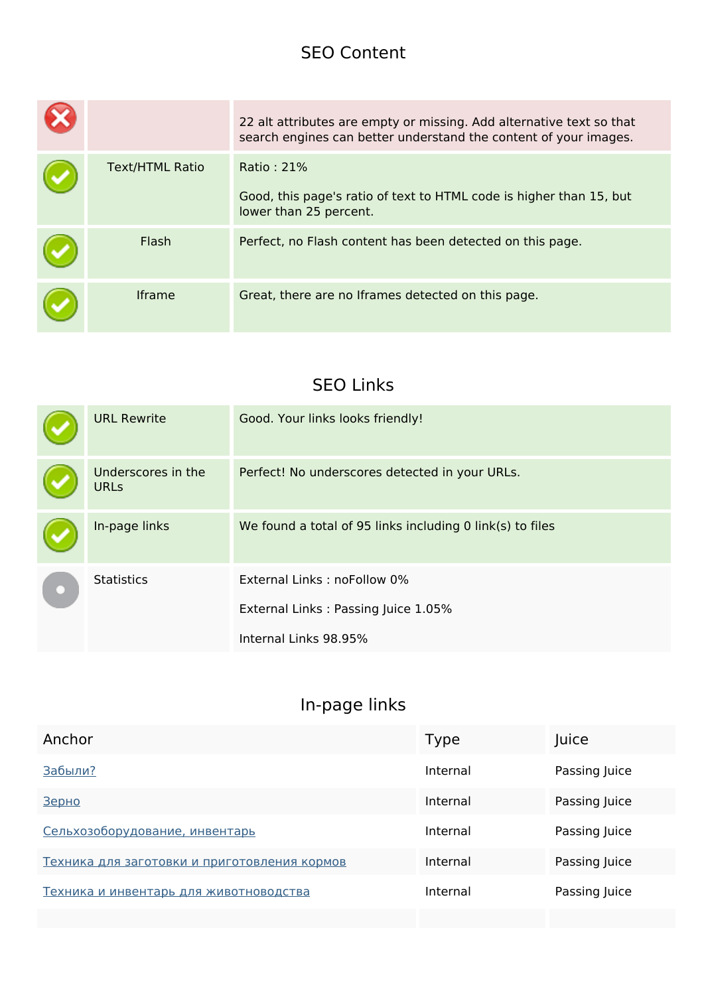#### **SEO Content**

|                        | 22 alt attributes are empty or missing. Add alternative text so that<br>search engines can better understand the content of your images. |
|------------------------|------------------------------------------------------------------------------------------------------------------------------------------|
| <b>Text/HTML Ratio</b> | Ratio: 21%<br>Good, this page's ratio of text to HTML code is higher than 15, but<br>lower than 25 percent.                              |
| Flash                  | Perfect, no Flash content has been detected on this page.                                                                                |
| <b>Iframe</b>          | Great, there are no Iframes detected on this page.                                                                                       |

#### **SEO Links**

| <b>URL Rewrite</b>                | Good. Your links looks friendly!                          |
|-----------------------------------|-----------------------------------------------------------|
| Underscores in the<br><b>URLs</b> | Perfect! No underscores detected in your URLs.            |
| In-page links                     | We found a total of 95 links including 0 link(s) to files |
| <b>Statistics</b>                 | External Links: noFollow 0%                               |
|                                   | External Links: Passing Juice 1.05%                       |
|                                   | Internal Links 98.95%                                     |

| Anchor                                       | Type     | Juice         |
|----------------------------------------------|----------|---------------|
| Забыли?                                      | Internal | Passing Juice |
| Зерно                                        | Internal | Passing Juice |
| Сельхозоборудование, инвентарь               | Internal | Passing Juice |
| Техника для заготовки и приготовления кормов | Internal | Passing Juice |
| Техника и инвентарь для животноводства       | Internal | Passing Juice |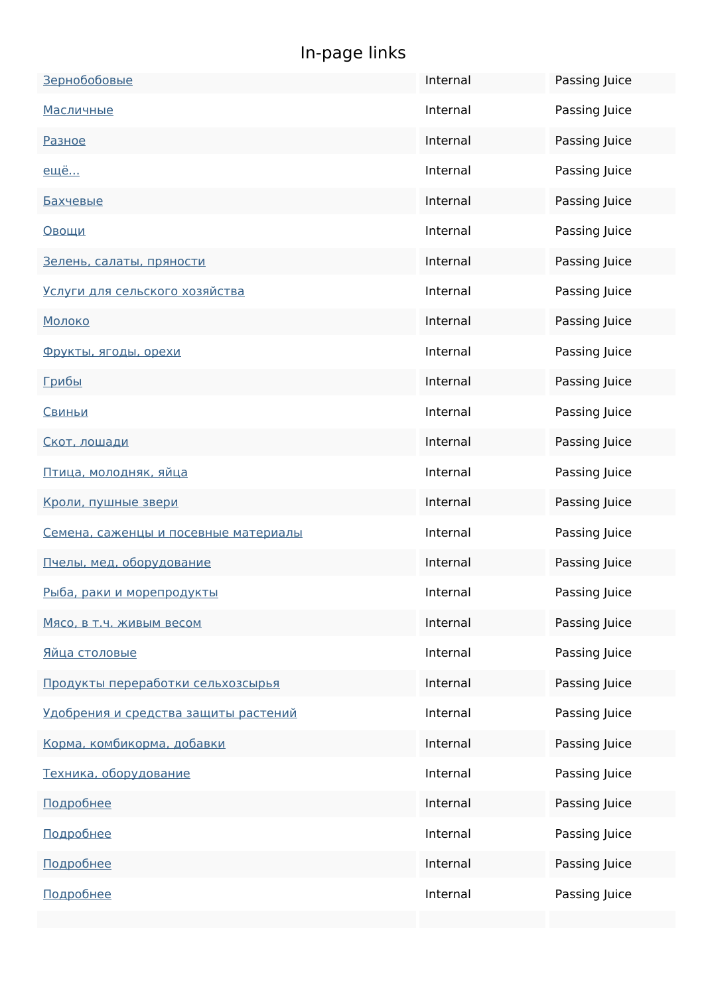| Зернобобовые                         | Internal | Passing Juice |
|--------------------------------------|----------|---------------|
| <u>Масличные</u>                     | Internal | Passing Juice |
| Разное                               | Internal | Passing Juice |
| <u>ещё</u>                           | Internal | Passing Juice |
| <u>Бахчевые</u>                      | Internal | Passing Juice |
| <u>Овощи</u>                         | Internal | Passing Juice |
| Зелень, салаты, пряности             | Internal | Passing Juice |
| Услуги для сельского хозяйства       | Internal | Passing Juice |
| Молоко                               | Internal | Passing Juice |
| Фрукты, ягоды, орехи                 | Internal | Passing Juice |
| <u>Грибы</u>                         | Internal | Passing Juice |
| Свиньи                               | Internal | Passing Juice |
| Скот, лошади                         | Internal | Passing Juice |
| Птица, молодняк, яйца                | Internal | Passing Juice |
| Кроли, пушные звери                  | Internal | Passing Juice |
| Семена, саженцы и посевные материалы | Internal | Passing Juice |
| Пчелы, мед, оборудование             | Internal | Passing Juice |
| Рыба, раки и морепродукты            | Internal | Passing Juice |
| Мясо, в т.ч. живым весом             | Internal | Passing Juice |
| Яйца столовые                        | Internal | Passing Juice |
| Продукты переработки сельхозсырья    | Internal | Passing Juice |
| Удобрения и средства защиты растений | Internal | Passing Juice |
| Корма, комбикорма, добавки           | Internal | Passing Juice |
| Техника, оборудование                | Internal | Passing Juice |
| Подробнее                            | Internal | Passing Juice |
| Подробнее                            | Internal | Passing Juice |
| Подробнее                            | Internal | Passing Juice |
| Подробнее                            | Internal | Passing Juice |
|                                      |          |               |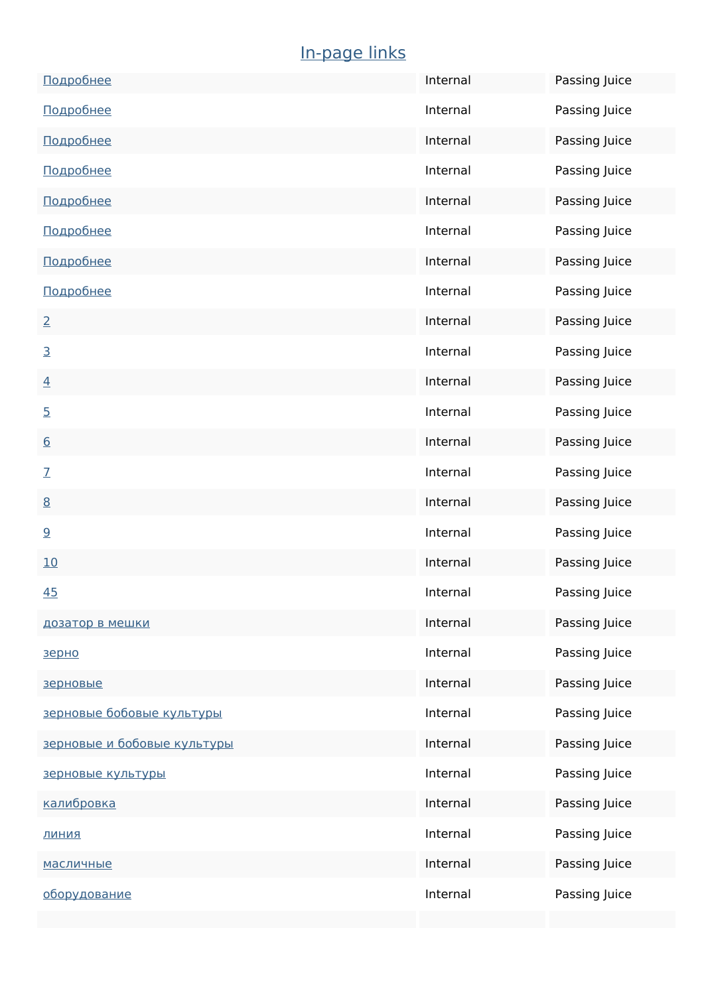| Подробнее                   | Internal | Passing Juice |
|-----------------------------|----------|---------------|
| Подробнее                   | Internal | Passing Juice |
| Подробнее                   | Internal | Passing Juice |
| Подробнее                   | Internal | Passing Juice |
| Подробнее                   | Internal | Passing Juice |
| Подробнее                   | Internal | Passing Juice |
| Подробнее                   | Internal | Passing Juice |
| Подробнее                   | Internal | Passing Juice |
| $\overline{2}$              | Internal | Passing Juice |
| $\overline{3}$              | Internal | Passing Juice |
| $\overline{4}$              | Internal | Passing Juice |
| $\overline{5}$              | Internal | Passing Juice |
| 6                           | Internal | Passing Juice |
| $\mathcal{I}$               | Internal | Passing Juice |
| 8                           | Internal | Passing Juice |
| 9                           | Internal | Passing Juice |
| 10                          | Internal | Passing Juice |
| 45                          | Internal | Passing Juice |
| дозатор в мешки             | Internal | Passing Juice |
| зерно                       | Internal | Passing Juice |
| зерновые                    | Internal | Passing Juice |
| зерновые бобовые культуры   | Internal | Passing Juice |
| зерновые и бобовые культуры | Internal | Passing Juice |
| зерновые культуры           | Internal | Passing Juice |
| калибровка                  | Internal | Passing Juice |
| <b>ВИНИД</b>                | Internal | Passing Juice |
| <u>масличные</u>            | Internal | Passing Juice |
| оборудование                | Internal | Passing Juice |
|                             |          |               |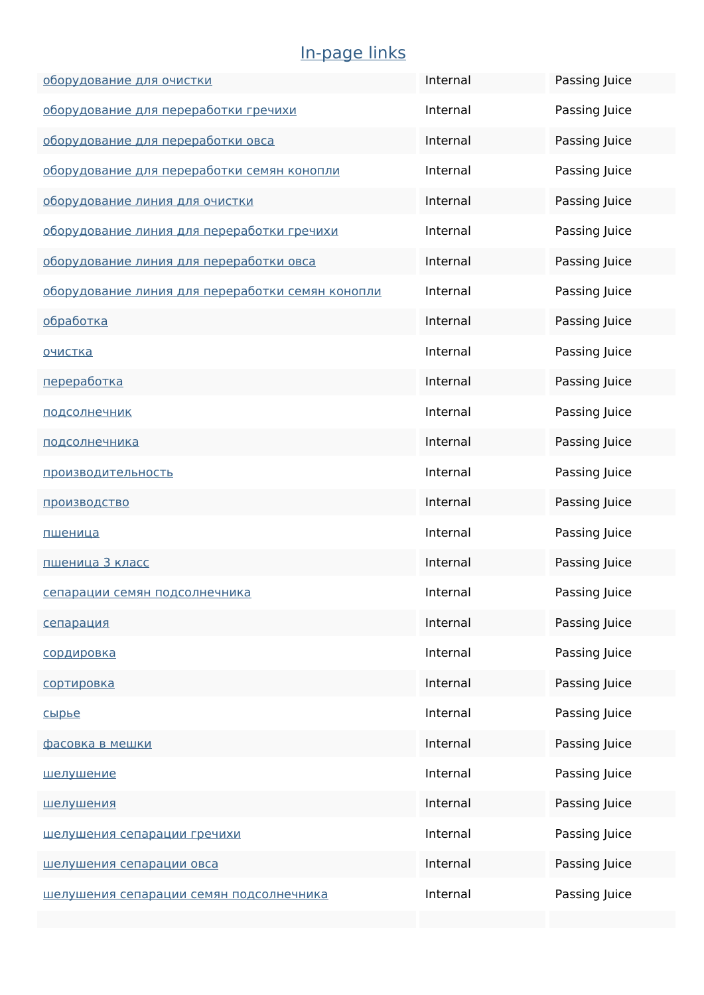| оборудование для очистки                         | Internal | Passing Juice |
|--------------------------------------------------|----------|---------------|
| оборудование для переработки гречихи             | Internal | Passing Juice |
| оборудование для переработки овса                | Internal | Passing Juice |
| оборудование для переработки семян конопли       | Internal | Passing Juice |
| оборудование линия для очистки                   | Internal | Passing Juice |
| оборудование линия для переработки гречихи       | Internal | Passing Juice |
| оборудование линия для переработки овса          | Internal | Passing Juice |
| оборудование линия для переработки семян конопли | Internal | Passing Juice |
| <u>обработка</u>                                 | Internal | Passing Juice |
| <u>очистка</u>                                   | Internal | Passing Juice |
| переработка                                      | Internal | Passing Juice |
| подсолнечник                                     | Internal | Passing Juice |
| <u>подсолнечника</u>                             | Internal | Passing Juice |
| производительность                               | Internal | Passing Juice |
| производство                                     | Internal | Passing Juice |
| пшеница                                          | Internal | Passing Juice |
| пшеница 3 класс                                  | Internal | Passing Juice |
| сепарации семян подсолнечника                    | Internal | Passing Juice |
| сепарация                                        | Internal | Passing Juice |
| сордировка                                       | Internal | Passing Juice |
| сортировка                                       | Internal | Passing Juice |
| сырье                                            | Internal | Passing Juice |
| фасовка в мешки                                  | Internal | Passing Juice |
| <u>шелушение</u>                                 | Internal | Passing Juice |
| <u>шелушения</u>                                 | Internal | Passing Juice |
| шелушения сепарации гречихи                      | Internal | Passing Juice |
| шелушения сепарации овса                         | Internal | Passing Juice |
| шелушения сепарации семян подсолнечника          | Internal | Passing Juice |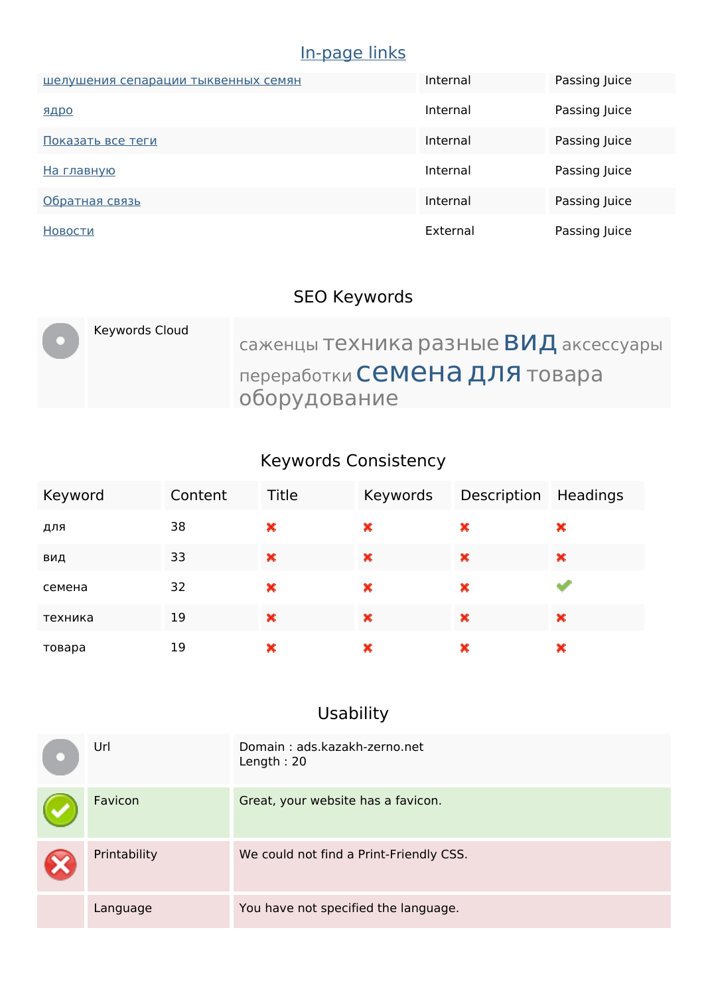| шелушения сепарации тыквенных семян | Internal | Passing Juice |
|-------------------------------------|----------|---------------|
| ЯДРО                                | Internal | Passing Juice |
| Показать все теги                   | Internal | Passing Juice |
| На главную                          | Internal | Passing Juice |
| Обратная связь                      | Internal | Passing Juice |
| Новости                             | External | Passing Juice |

### **SEO Keywords**

| Keywords Cloud | саженцы ТЕХНИКА разные ВИД аксессуары         |
|----------------|-----------------------------------------------|
|                | переработки Семена для товара<br>оборудование |

### **Keywords Consistency**

| Keyword | Content | <b>Title</b>          | Keywords | Description Headings |   |
|---------|---------|-----------------------|----------|----------------------|---|
| для     | 38      | ×                     | ×        | ×                    | × |
| вид     | 33      | $\boldsymbol{\times}$ | ×        | $\pmb{\times}$       | × |
| семена  | 32      | ×                     | ×        | ×                    |   |
| техника | 19      | ×                     | ×        | ×                    | × |
| товара  | 19      | ×                     | ×        | ×                    | × |

# **Usability**

| Url          | Domain: ads.kazakh-zerno.net<br>Length: $20$ |
|--------------|----------------------------------------------|
| Favicon      | Great, your website has a favicon.           |
| Printability | We could not find a Print-Friendly CSS.      |
| Language     | You have not specified the language.         |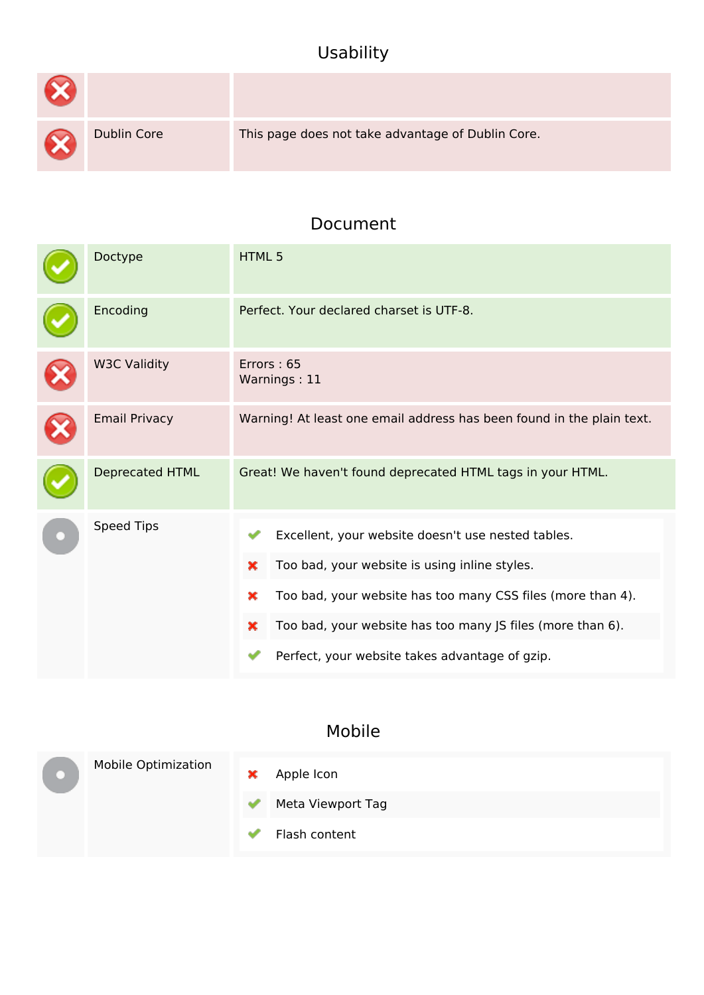### **Usability**

| $\infty$  |                    |                                                   |
|-----------|--------------------|---------------------------------------------------|
| $\propto$ | <b>Dublin Core</b> | This page does not take advantage of Dublin Core. |

#### **Document**

| Doctype                | HTML <sub>5</sub>                                                                                                                                                                                                                                                                                 |  |  |
|------------------------|---------------------------------------------------------------------------------------------------------------------------------------------------------------------------------------------------------------------------------------------------------------------------------------------------|--|--|
| Encoding               | Perfect. Your declared charset is UTF-8.                                                                                                                                                                                                                                                          |  |  |
| <b>W3C Validity</b>    | Errors: 65<br>Warnings: 11                                                                                                                                                                                                                                                                        |  |  |
| <b>Email Privacy</b>   | Warning! At least one email address has been found in the plain text.                                                                                                                                                                                                                             |  |  |
| <b>Deprecated HTML</b> | Great! We haven't found deprecated HTML tags in your HTML.                                                                                                                                                                                                                                        |  |  |
| <b>Speed Tips</b>      | Excellent, your website doesn't use nested tables.<br>Too bad, your website is using inline styles.<br>×<br>Too bad, your website has too many CSS files (more than 4).<br>×<br>Too bad, your website has too many JS files (more than 6).<br>×<br>Perfect, your website takes advantage of gzip. |  |  |

#### **Mobile**

|  | <b>Mobile Optimization</b> | × | Apple Icon        |
|--|----------------------------|---|-------------------|
|  |                            |   | Meta Viewport Tag |
|  |                            |   | Flash content     |